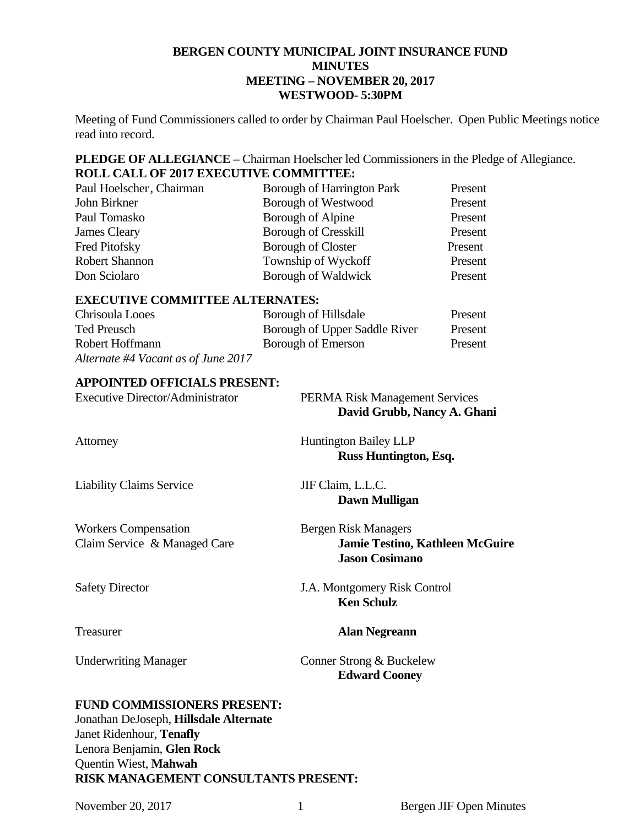## **BERGEN COUNTY MUNICIPAL JOINT INSURANCE FUND MINUTES MEETING – NOVEMBER 20, 2017 WESTWOOD- 5:30PM**

Meeting of Fund Commissioners called to order by Chairman Paul Hoelscher. Open Public Meetings notice read into record.

**PLEDGE OF ALLEGIANCE –** Chairman Hoelscher led Commissioners in the Pledge of Allegiance. **ROLL CALL OF 2017 EXECUTIVE COMMITTEE:** 

| Paul Hoelscher, Chairman | Borough of Harrington Park  | Present |
|--------------------------|-----------------------------|---------|
| John Birkner             | <b>Borough of Westwood</b>  | Present |
| Paul Tomasko             | Borough of Alpine           | Present |
| James Cleary             | <b>Borough of Cresskill</b> | Present |
| Fred Pitofsky            | <b>Borough of Closter</b>   | Present |
| <b>Robert Shannon</b>    | Township of Wyckoff         | Present |
| Don Sciolaro             | Borough of Waldwick         | Present |

## **EXECUTIVE COMMITTEE ALTERNATES:**

| Chrisoula Looes                     | Borough of Hillsdale          | Present |
|-------------------------------------|-------------------------------|---------|
| Ted Preusch                         | Borough of Upper Saddle River | Present |
| Robert Hoffmann                     | Borough of Emerson            | Present |
| Alternate #4 Vacant as of June 2017 |                               |         |

## **APPOINTED OFFICIALS PRESENT:**

| Executive Director/Administrator | <b>PERMA Risk Management Services</b> |
|----------------------------------|---------------------------------------|
|                                  | David Grubb, Nancy A. Ghani           |
|                                  |                                       |

Liability Claims Service JIF Claim, L.L.C.

Workers Compensation Bergen Risk Managers

AttorneyHuntington Bailey LLP **Russ Huntington, Esq.** 

**Dawn Mulligan** 

Claim Service & Managed Care **Jamie Testino, Kathleen McGuire Jason Cosimano** 

Safety Director J.A. Montgomery Risk Control  **Ken Schulz** 

## Treasurer **Alan Negreann**

Underwriting Manager Conner Strong & Buckelew  **Edward Cooney** 

## **FUND COMMISSIONERS PRESENT:**

Jonathan DeJoseph, **Hillsdale Alternate**  Janet Ridenhour, **Tenafly**  Lenora Benjamin, **Glen Rock**  Quentin Wiest, **Mahwah RISK MANAGEMENT CONSULTANTS PRESENT:**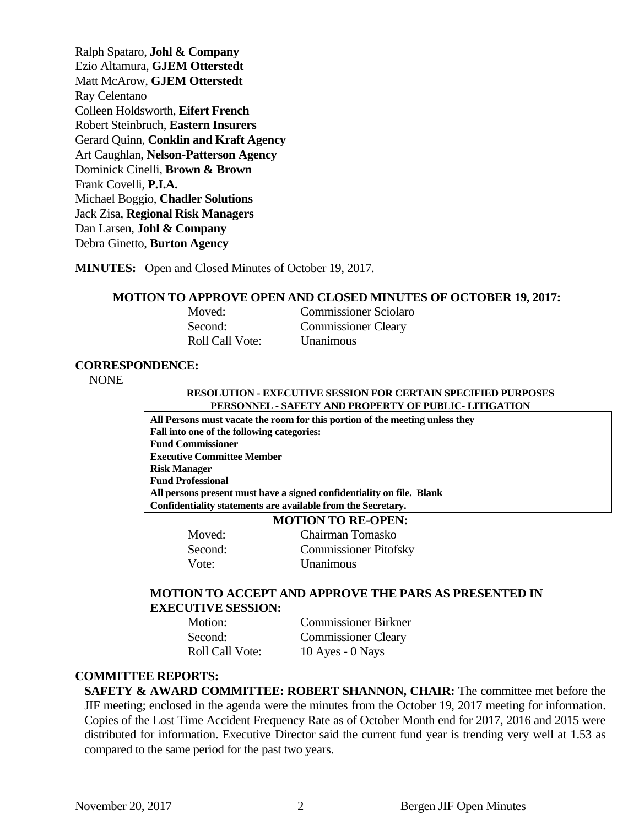Ralph Spataro, **Johl & Company**  Ezio Altamura, **GJEM Otterstedt**  Matt McArow, **GJEM Otterstedt**  Ray Celentano Colleen Holdsworth, **Eifert French**  Robert Steinbruch, **Eastern Insurers**  Gerard Quinn, **Conklin and Kraft Agency**  Art Caughlan, **Nelson-Patterson Agency**  Dominick Cinelli, **Brown & Brown** Frank Covelli, **P.I.A.**  Michael Boggio, **Chadler Solutions**  Jack Zisa, **Regional Risk Managers**  Dan Larsen, **Johl & Company** Debra Ginetto, **Burton Agency** 

**MINUTES:** Open and Closed Minutes of October 19, 2017.

#### **MOTION TO APPROVE OPEN AND CLOSED MINUTES OF OCTOBER 19, 2017:**

| Moved:                 | <b>Commissioner Sciolaro</b> |
|------------------------|------------------------------|
| Second:                | <b>Commissioner Cleary</b>   |
| <b>Roll Call Vote:</b> | <b>U</b> nanimous            |

#### **CORRESPONDENCE:**

NONE

#### **RESOLUTION - EXECUTIVE SESSION FOR CERTAIN SPECIFIED PURPOSES PERSONNEL - SAFETY AND PROPERTY OF PUBLIC- LITIGATION**

**All Persons must vacate the room for this portion of the meeting unless they Fall into one of the following categories: Fund Commissioner Executive Committee Member Risk Manager Fund Professional All persons present must have a signed confidentiality on file. Blank Confidentiality statements are available from the Secretary.** 

#### **MOTION TO RE-OPEN:**

**Moved:** Chairman Tomasko Second: Commissioner Pitofsky Vote: Unanimous

## **MOTION TO ACCEPT AND APPROVE THE PARS AS PRESENTED IN EXECUTIVE SESSION:**

 Motion: Commissioner Birkner Second: Commissioner Cleary Roll Call Vote: 10 Ayes - 0 Nays

#### **COMMITTEE REPORTS:**

**SAFETY & AWARD COMMITTEE: ROBERT SHANNON, CHAIR:** The committee met before the JIF meeting; enclosed in the agenda were the minutes from the October 19, 2017 meeting for information. Copies of the Lost Time Accident Frequency Rate as of October Month end for 2017, 2016 and 2015 were distributed for information. Executive Director said the current fund year is trending very well at 1.53 as compared to the same period for the past two years.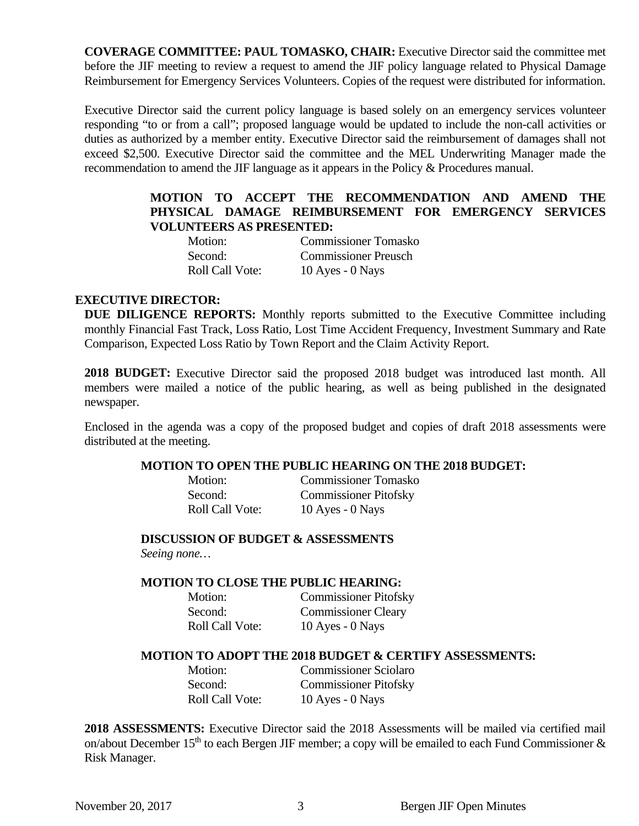**COVERAGE COMMITTEE: PAUL TOMASKO, CHAIR:** Executive Director said the committee met before the JIF meeting to review a request to amend the JIF policy language related to Physical Damage Reimbursement for Emergency Services Volunteers. Copies of the request were distributed for information.

Executive Director said the current policy language is based solely on an emergency services volunteer responding "to or from a call"; proposed language would be updated to include the non-call activities or duties as authorized by a member entity. Executive Director said the reimbursement of damages shall not exceed \$2,500. Executive Director said the committee and the MEL Underwriting Manager made the recommendation to amend the JIF language as it appears in the Policy & Procedures manual.

# **MOTION TO ACCEPT THE RECOMMENDATION AND AMEND THE PHYSICAL DAMAGE REIMBURSEMENT FOR EMERGENCY SERVICES VOLUNTEERS AS PRESENTED:**

| Motion:                | <b>Commissioner Tomasko</b> |
|------------------------|-----------------------------|
| Second:                | <b>Commissioner Preusch</b> |
| <b>Roll Call Vote:</b> | 10 Ayes - $0$ Nays          |

## **EXECUTIVE DIRECTOR:**

**DUE DILIGENCE REPORTS:** Monthly reports submitted to the Executive Committee including monthly Financial Fast Track, Loss Ratio, Lost Time Accident Frequency, Investment Summary and Rate Comparison, Expected Loss Ratio by Town Report and the Claim Activity Report.

**2018 BUDGET:** Executive Director said the proposed 2018 budget was introduced last month. All members were mailed a notice of the public hearing, as well as being published in the designated newspaper.

Enclosed in the agenda was a copy of the proposed budget and copies of draft 2018 assessments were distributed at the meeting.

## **MOTION TO OPEN THE PUBLIC HEARING ON THE 2018 BUDGET:**

| Motion:                |  |
|------------------------|--|
| Second:                |  |
| <b>Roll Call Vote:</b> |  |

Commissioner Tomasko Commissioner Pitofsky 10 Ayes - 0 Nays

**DISCUSSION OF BUDGET & ASSESSMENTS** 

*Seeing none…* 

## **MOTION TO CLOSE THE PUBLIC HEARING:**

| Motion: |                        | <b>Commissioner Pitofsky</b> |
|---------|------------------------|------------------------------|
| Second: |                        | <b>Commissioner Cleary</b>   |
|         | <b>Roll Call Vote:</b> | 10 Ayes - $0$ Nays           |

## **MOTION TO ADOPT THE 2018 BUDGET & CERTIFY ASSESSMENTS:**

 Motion: Commissioner Sciolaro Second: Commissioner Pitofsky Roll Call Vote: 10 Ayes - 0 Nays

**2018 ASSESSMENTS:** Executive Director said the 2018 Assessments will be mailed via certified mail on/about December 15<sup>th</sup> to each Bergen JIF member; a copy will be emailed to each Fund Commissioner  $\&$ Risk Manager.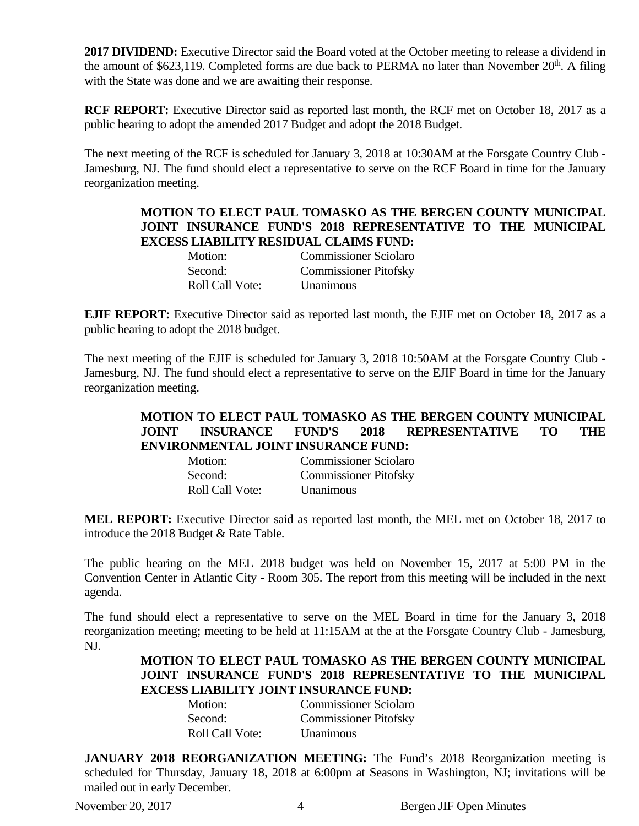**2017 DIVIDEND:** Executive Director said the Board voted at the October meeting to release a dividend in the amount of \$623,119. Completed forms are due back to PERMA no later than November 20<sup>th</sup>. A filing with the State was done and we are awaiting their response.

**RCF REPORT:** Executive Director said as reported last month, the RCF met on October 18, 2017 as a public hearing to adopt the amended 2017 Budget and adopt the 2018 Budget.

The next meeting of the RCF is scheduled for January 3, 2018 at 10:30AM at the Forsgate Country Club - Jamesburg, NJ. The fund should elect a representative to serve on the RCF Board in time for the January reorganization meeting.

## **MOTION TO ELECT PAUL TOMASKO AS THE BERGEN COUNTY MUNICIPAL JOINT INSURANCE FUND'S 2018 REPRESENTATIVE TO THE MUNICIPAL EXCESS LIABILITY RESIDUAL CLAIMS FUND:**

| Motion: |                        | <b>Commissioner Sciolaro</b> |
|---------|------------------------|------------------------------|
| Second: |                        | <b>Commissioner Pitofsky</b> |
|         | <b>Roll Call Vote:</b> | Unanimous                    |

**EJIF REPORT:** Executive Director said as reported last month, the EJIF met on October 18, 2017 as a public hearing to adopt the 2018 budget.

The next meeting of the EJIF is scheduled for January 3, 2018 10:50AM at the Forsgate Country Club - Jamesburg, NJ. The fund should elect a representative to serve on the EJIF Board in time for the January reorganization meeting.

# **MOTION TO ELECT PAUL TOMASKO AS THE BERGEN COUNTY MUNICIPAL JOINT INSURANCE FUND'S 2018 REPRESENTATIVE TO THE ENVIRONMENTAL JOINT INSURANCE FUND:**

| Motion:                | <b>Commissioner Sciolaro</b> |
|------------------------|------------------------------|
| Second:                | <b>Commissioner Pitofsky</b> |
| <b>Roll Call Vote:</b> | Unanimous                    |

**MEL REPORT:** Executive Director said as reported last month, the MEL met on October 18, 2017 to introduce the 2018 Budget & Rate Table.

The public hearing on the MEL 2018 budget was held on November 15, 2017 at 5:00 PM in the Convention Center in Atlantic City - Room 305. The report from this meeting will be included in the next agenda.

The fund should elect a representative to serve on the MEL Board in time for the January 3, 2018 reorganization meeting; meeting to be held at 11:15AM at the at the Forsgate Country Club - Jamesburg, NJ.

# **MOTION TO ELECT PAUL TOMASKO AS THE BERGEN COUNTY MUNICIPAL JOINT INSURANCE FUND'S 2018 REPRESENTATIVE TO THE MUNICIPAL EXCESS LIABILITY JOINT INSURANCE FUND:**

| Motion:                | <b>Commissioner Sciolaro</b> |
|------------------------|------------------------------|
| Second:                | <b>Commissioner Pitofsky</b> |
| <b>Roll Call Vote:</b> | Unanimous                    |

**JANUARY 2018 REORGANIZATION MEETING:** The Fund's 2018 Reorganization meeting is scheduled for Thursday, January 18, 2018 at 6:00pm at Seasons in Washington, NJ; invitations will be mailed out in early December.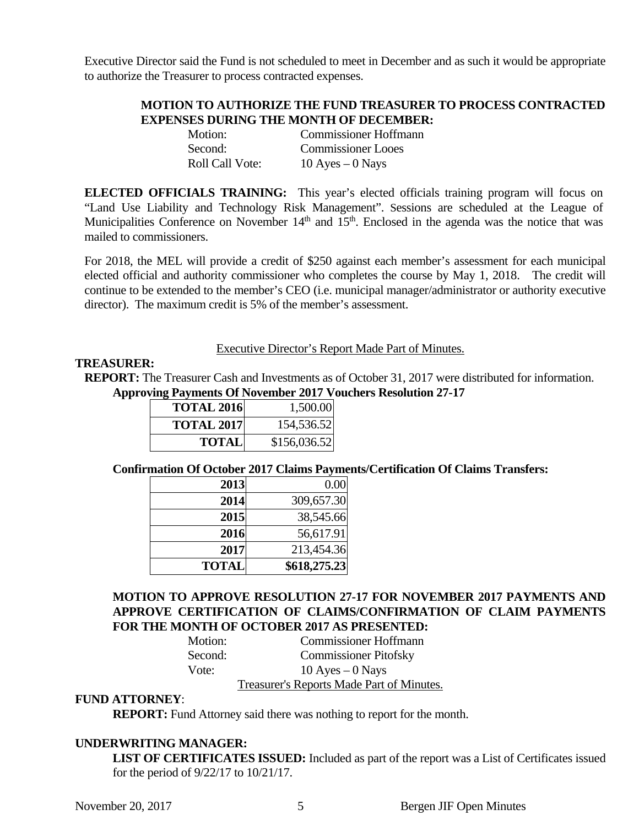Executive Director said the Fund is not scheduled to meet in December and as such it would be appropriate to authorize the Treasurer to process contracted expenses.

## **MOTION TO AUTHORIZE THE FUND TREASURER TO PROCESS CONTRACTED EXPENSES DURING THE MONTH OF DECEMBER:**

| Motion:                | <b>Commissioner Hoffmann</b> |
|------------------------|------------------------------|
| Second:                | <b>Commissioner Looes</b>    |
| <b>Roll Call Vote:</b> | 10 Ayes $-0$ Nays            |

**ELECTED OFFICIALS TRAINING:** This year's elected officials training program will focus on "Land Use Liability and Technology Risk Management". Sessions are scheduled at the League of Municipalities Conference on November  $14<sup>th</sup>$  and  $15<sup>th</sup>$ . Enclosed in the agenda was the notice that was mailed to commissioners.

For 2018, the MEL will provide a credit of \$250 against each member's assessment for each municipal elected official and authority commissioner who completes the course by May 1, 2018. The credit will continue to be extended to the member's CEO (i.e. municipal manager/administrator or authority executive director). The maximum credit is 5% of the member's assessment.

#### Executive Director's Report Made Part of Minutes.

## **TREASURER:**

**REPORT:** The Treasurer Cash and Investments as of October 31, 2017 were distributed for information. **Approving Payments Of November 2017 Vouchers Resolution 27-17** 

| <b>TOTAL 2016</b> | 1,500.00     |
|-------------------|--------------|
| <b>TOTAL 2017</b> | 154,536.52   |
| <b>TOTAL</b>      | \$156,036.52 |

#### **Confirmation Of October 2017 Claims Payments/Certification Of Claims Transfers:**

| 2013         | 0.00         |
|--------------|--------------|
| 2014         | 309,657.30   |
| 2015         | 38,545.66    |
| 2016         | 56,617.91    |
| 2017         | 213,454.36   |
| <b>TOTAL</b> | \$618,275.23 |

## **MOTION TO APPROVE RESOLUTION 27-17 FOR NOVEMBER 2017 PAYMENTS AND APPROVE CERTIFICATION OF CLAIMS/CONFIRMATION OF CLAIM PAYMENTS FOR THE MONTH OF OCTOBER 2017 AS PRESENTED:**

| Motion: | <b>Commissioner Hoffmann</b>              |
|---------|-------------------------------------------|
| Second: | <b>Commissioner Pitofsky</b>              |
| Vote:   | 10 Ayes $-0$ Nays                         |
|         | Treasurer's Reports Made Part of Minutes. |

## **FUND ATTORNEY**:

**REPORT:** Fund Attorney said there was nothing to report for the month.

#### **UNDERWRITING MANAGER:**

**LIST OF CERTIFICATES ISSUED:** Included as part of the report was a List of Certificates issued for the period of 9/22/17 to 10/21/17.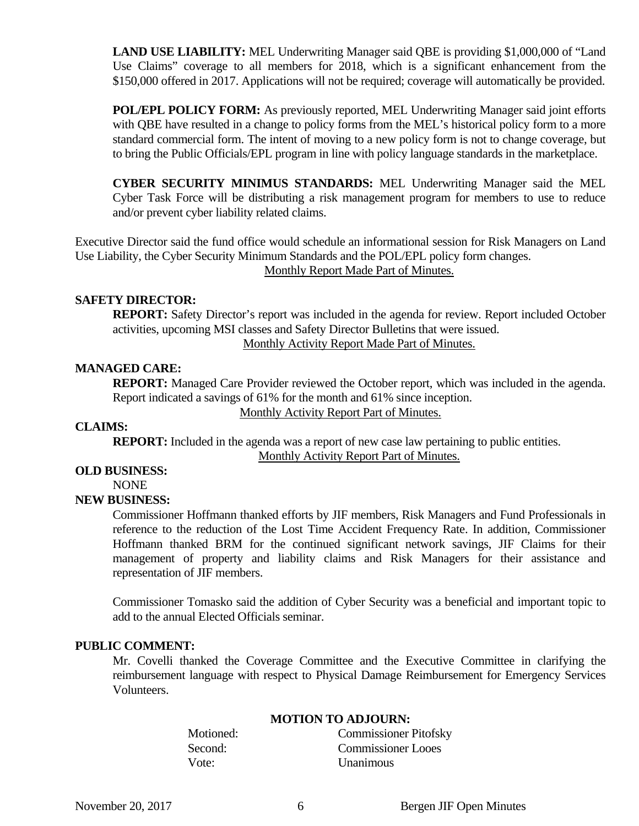**LAND USE LIABILITY:** MEL Underwriting Manager said QBE is providing \$1,000,000 of "Land Use Claims" coverage to all members for 2018, which is a significant enhancement from the \$150,000 offered in 2017. Applications will not be required; coverage will automatically be provided.

**POL/EPL POLICY FORM:** As previously reported, MEL Underwriting Manager said joint efforts with QBE have resulted in a change to policy forms from the MEL's historical policy form to a more standard commercial form. The intent of moving to a new policy form is not to change coverage, but to bring the Public Officials/EPL program in line with policy language standards in the marketplace.

**CYBER SECURITY MINIMUS STANDARDS:** MEL Underwriting Manager said the MEL Cyber Task Force will be distributing a risk management program for members to use to reduce and/or prevent cyber liability related claims.

Executive Director said the fund office would schedule an informational session for Risk Managers on Land Use Liability, the Cyber Security Minimum Standards and the POL/EPL policy form changes. Monthly Report Made Part of Minutes.

## **SAFETY DIRECTOR:**

**REPORT:** Safety Director's report was included in the agenda for review. Report included October activities, upcoming MSI classes and Safety Director Bulletins that were issued. Monthly Activity Report Made Part of Minutes.

## **MANAGED CARE:**

**REPORT:** Managed Care Provider reviewed the October report, which was included in the agenda. Report indicated a savings of 61% for the month and 61% since inception.

#### Monthly Activity Report Part of Minutes.

#### **CLAIMS:**

**REPORT:** Included in the agenda was a report of new case law pertaining to public entities. Monthly Activity Report Part of Minutes.

# **OLD BUSINESS:**

NONE

## **NEW BUSINESS:**

Commissioner Hoffmann thanked efforts by JIF members, Risk Managers and Fund Professionals in reference to the reduction of the Lost Time Accident Frequency Rate. In addition, Commissioner Hoffmann thanked BRM for the continued significant network savings, JIF Claims for their management of property and liability claims and Risk Managers for their assistance and representation of JIF members.

Commissioner Tomasko said the addition of Cyber Security was a beneficial and important topic to add to the annual Elected Officials seminar.

#### **PUBLIC COMMENT:**

Mr. Covelli thanked the Coverage Committee and the Executive Committee in clarifying the reimbursement language with respect to Physical Damage Reimbursement for Emergency Services Volunteers.

| <b>MOTION TO ADJOUNS.</b>    |  |
|------------------------------|--|
| <b>Commissioner Pitofsky</b> |  |
| <b>Commissioner Looes</b>    |  |
| Unanimous                    |  |
|                              |  |

# **MOTION TO ADJOURN:**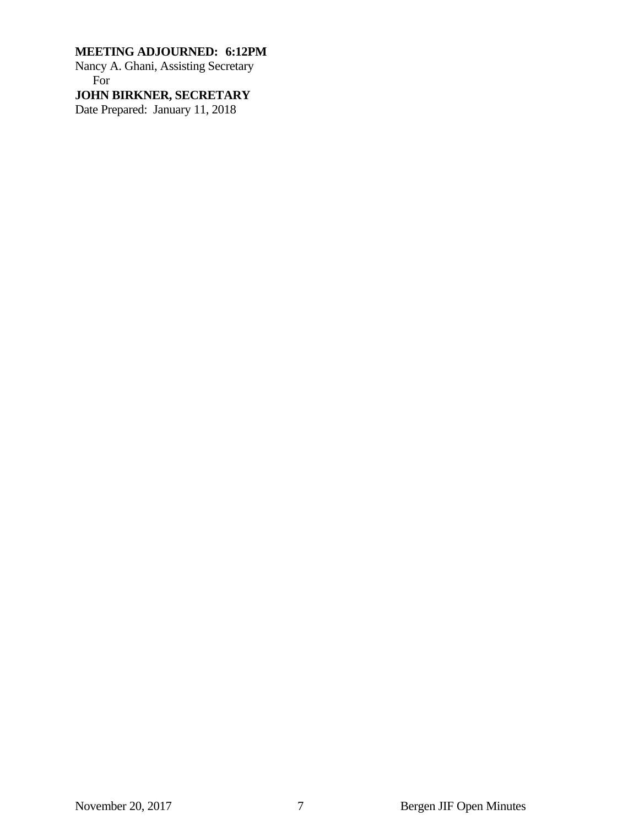# **MEETING ADJOURNED: 6:12PM**

Nancy A. Ghani, Assisting Secretary For

**JOHN BIRKNER, SECRETARY** 

Date Prepared: January 11, 2018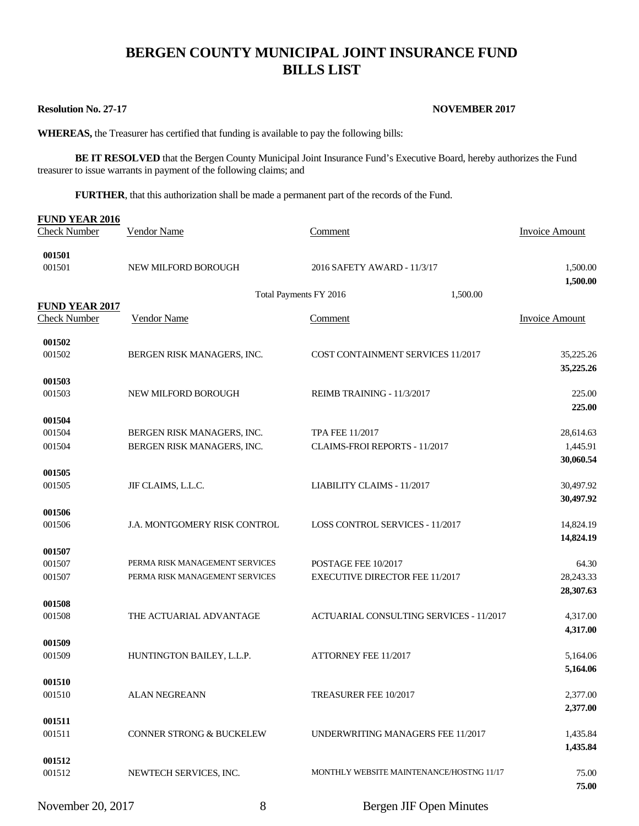# **BERGEN COUNTY MUNICIPAL JOINT INSURANCE FUND BILLS LIST**

#### **Resolution No. 27-17** NOVEMBER 2017

**WHEREAS,** the Treasurer has certified that funding is available to pay the following bills:

**BE IT RESOLVED** that the Bergen County Municipal Joint Insurance Fund's Executive Board, hereby authorizes the Fund treasurer to issue warrants in payment of the following claims; and

**FURTHER**, that this authorization shall be made a permanent part of the records of the Fund.

| <b>FUND YEAR 2016</b><br><b>Check Number</b> | <b>Vendor Name</b>             | Comment                                  |          | <b>Invoice Amount</b>  |
|----------------------------------------------|--------------------------------|------------------------------------------|----------|------------------------|
| 001501<br>001501                             | NEW MILFORD BOROUGH            | 2016 SAFETY AWARD - 11/3/17              |          | 1,500.00<br>1,500.00   |
|                                              | Total Payments FY 2016         |                                          | 1,500.00 |                        |
| <b>FUND YEAR 2017</b><br><b>Check Number</b> | Vendor Name                    | <b>Comment</b>                           |          | <b>Invoice Amount</b>  |
| 001502                                       |                                |                                          |          |                        |
| 001502                                       | BERGEN RISK MANAGERS, INC.     | COST CONTAINMENT SERVICES 11/2017        |          | 35,225.26<br>35,225.26 |
| 001503                                       |                                |                                          |          |                        |
| 001503                                       | NEW MILFORD BOROUGH            | REIMB TRAINING - 11/3/2017               |          | 225.00<br>225.00       |
| 001504                                       |                                |                                          |          |                        |
| 001504                                       | BERGEN RISK MANAGERS, INC.     | <b>TPA FEE 11/2017</b>                   |          | 28,614.63              |
| 001504                                       | BERGEN RISK MANAGERS, INC.     | CLAIMS-FROI REPORTS - 11/2017            |          | 1,445.91               |
|                                              |                                |                                          |          | 30,060.54              |
| 001505<br>001505                             | JIF CLAIMS, L.L.C.             | LIABILITY CLAIMS - 11/2017               |          | 30,497.92              |
|                                              |                                |                                          |          | 30,497.92              |
| 001506                                       |                                |                                          |          |                        |
| 001506                                       | J.A. MONTGOMERY RISK CONTROL   | <b>LOSS CONTROL SERVICES - 11/2017</b>   |          | 14,824.19<br>14,824.19 |
| 001507                                       |                                |                                          |          |                        |
| 001507                                       | PERMA RISK MANAGEMENT SERVICES | POSTAGE FEE 10/2017                      |          | 64.30                  |
| 001507                                       | PERMA RISK MANAGEMENT SERVICES | <b>EXECUTIVE DIRECTOR FEE 11/2017</b>    |          | 28,243.33              |
|                                              |                                |                                          |          | 28,307.63              |
| 001508                                       |                                |                                          |          |                        |
| 001508                                       | THE ACTUARIAL ADVANTAGE        | ACTUARIAL CONSULTING SERVICES - 11/2017  |          | 4,317.00               |
| 001509                                       |                                |                                          |          | 4,317.00               |
| 001509                                       | HUNTINGTON BAILEY, L.L.P.      | ATTORNEY FEE 11/2017                     |          | 5,164.06               |
|                                              |                                |                                          |          | 5,164.06               |
| 001510                                       |                                |                                          |          |                        |
| 001510                                       | <b>ALAN NEGREANN</b>           | TREASURER FEE 10/2017                    |          | 2,377.00               |
|                                              |                                |                                          |          | 2,377.00               |
| 001511                                       |                                |                                          |          |                        |
| 001511                                       | CONNER STRONG & BUCKELEW       | UNDERWRITING MANAGERS FEE 11/2017        |          | 1,435.84               |
| 001512                                       |                                |                                          |          | 1,435.84               |
| 001512                                       | NEWTECH SERVICES, INC.         | MONTHLY WEBSITE MAINTENANCE/HOSTNG 11/17 |          | 75.00                  |
|                                              |                                |                                          |          | 75.00                  |
| November 20, 2017                            | $8\,$                          | Bergen JIF Open Minutes                  |          |                        |